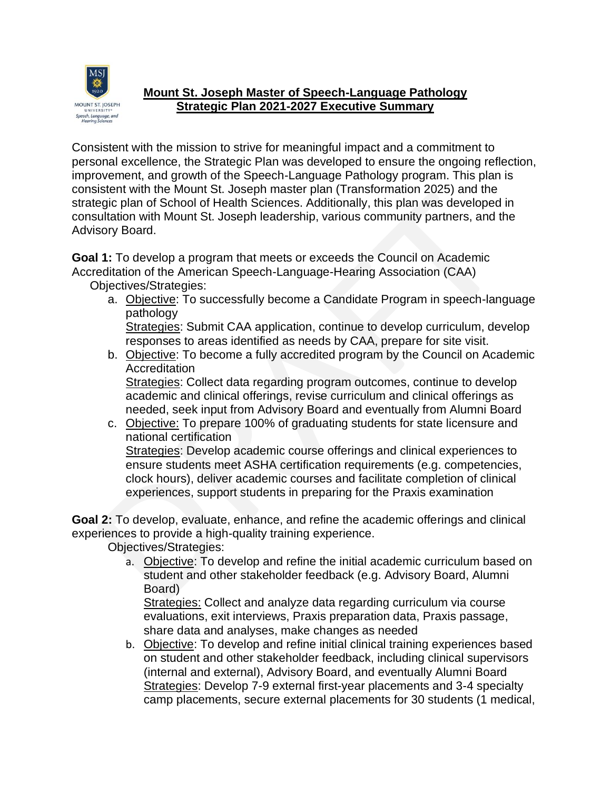

## **Mount St. Joseph Master of Speech-Language Pathology Strategic Plan 2021-2027 Executive Summary**

Consistent with the mission to strive for meaningful impact and a commitment to personal excellence, the Strategic Plan was developed to ensure the ongoing reflection, improvement, and growth of the Speech-Language Pathology program. This plan is consistent with the Mount St. Joseph master plan (Transformation 2025) and the strategic plan of School of Health Sciences. Additionally, this plan was developed in consultation with Mount St. Joseph leadership, various community partners, and the Advisory Board.

**Goal 1:** To develop a program that meets or exceeds the Council on Academic Accreditation of the American Speech-Language-Hearing Association (CAA)

Objectives/Strategies:

a. Objective: To successfully become a Candidate Program in speech-language pathology

Strategies: Submit CAA application, continue to develop curriculum, develop responses to areas identified as needs by CAA, prepare for site visit.

b. Objective: To become a fully accredited program by the Council on Academic **Accreditation** Strategies: Collect data regarding program outcomes, continue to develop

academic and clinical offerings, revise curriculum and clinical offerings as needed, seek input from Advisory Board and eventually from Alumni Board

c. Objective: To prepare 100% of graduating students for state licensure and national certification Strategies: Develop academic course offerings and clinical experiences to ensure students meet ASHA certification requirements (e.g. competencies, clock hours), deliver academic courses and facilitate completion of clinical experiences, support students in preparing for the Praxis examination

**Goal 2:** To develop, evaluate, enhance, and refine the academic offerings and clinical experiences to provide a high-quality training experience.

Objectives/Strategies:

a. Objective: To develop and refine the initial academic curriculum based on student and other stakeholder feedback (e.g. Advisory Board, Alumni Board)

Strategies: Collect and analyze data regarding curriculum via course evaluations, exit interviews, Praxis preparation data, Praxis passage, share data and analyses, make changes as needed

b. Objective: To develop and refine initial clinical training experiences based on student and other stakeholder feedback, including clinical supervisors (internal and external), Advisory Board, and eventually Alumni Board Strategies: Develop 7-9 external first-year placements and 3-4 specialty camp placements, secure external placements for 30 students (1 medical,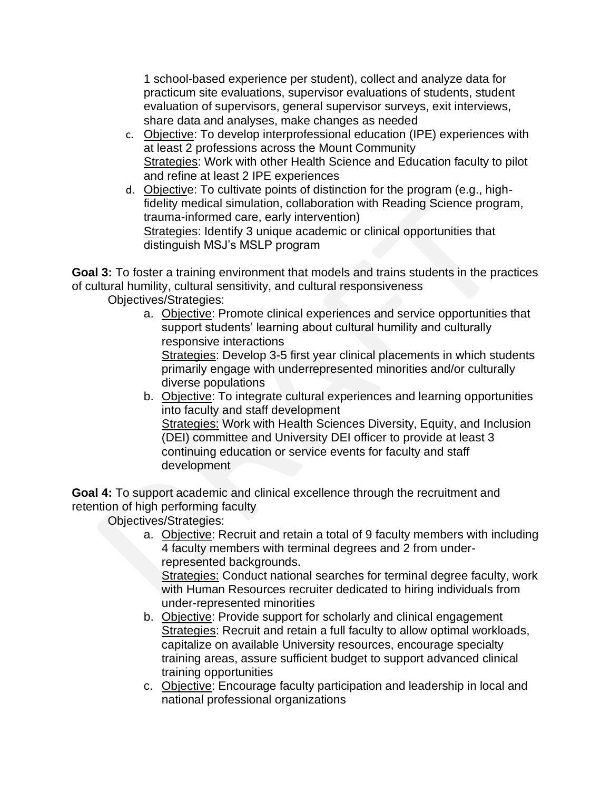1 school-based experience per student), collect and analyze data for practicum site evaluations, supervisor evaluations of students, student evaluation of supervisors, general supervisor surveys, exit interviews, share data and analyses, make changes as needed

- c. Objective: To develop interprofessional education (IPE) experiences with at least 2 professions across the Mount Community Strategies: Work with other Health Science and Education faculty to pilot and refine at least 2 IPE experiences
- d. Objective: To cultivate points of distinction for the program (e.g., highfidelity medical simulation, collaboration with Reading Science program, trauma-informed care, early intervention) Strategies: Identify 3 unique academic or clinical opportunities that distinguish MSJ's MSLP program

**Goal 3:** To foster a training environment that models and trains students in the practices of cultural humility, cultural sensitivity, and cultural responsiveness

Objectives/Strategies:

a. Objective: Promote clinical experiences and service opportunities that support students' learning about cultural humility and culturally responsive interactions Strategies: Develop 3-5 first year clinical placements in which students

primarily engage with underrepresented minorities and/or culturally diverse populations

b. Objective: To integrate cultural experiences and learning opportunities into faculty and staff development Strategies: Work with Health Sciences Diversity, Equity, and Inclusion (DEI) committee and University DEI officer to provide at least 3 continuing education or service events for faculty and staff development

**Goal 4:** To support academic and clinical excellence through the recruitment and retention of high performing faculty

Objectives/Strategies:

a. Objective: Recruit and retain a total of 9 faculty members with including 4 faculty members with terminal degrees and 2 from underrepresented backgrounds.

Strategies: Conduct national searches for terminal degree faculty, work with Human Resources recruiter dedicated to hiring individuals from under-represented minorities

- b. Objective: Provide support for scholarly and clinical engagement Strategies: Recruit and retain a full faculty to allow optimal workloads, capitalize on available University resources, encourage specialty training areas, assure sufficient budget to support advanced clinical training opportunities
- c. Objective: Encourage faculty participation and leadership in local and national professional organizations